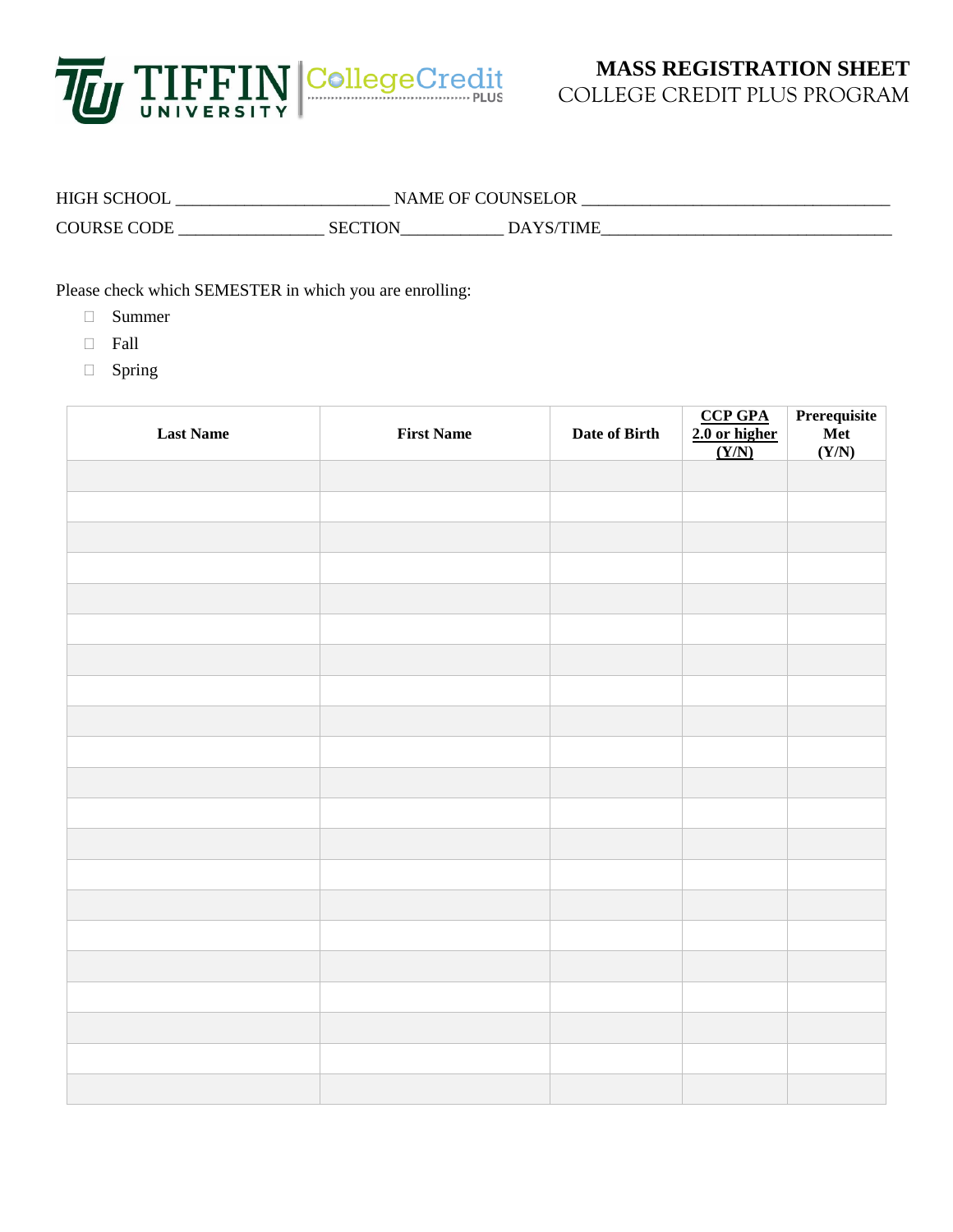

## HIGH SCHOOL \_\_\_\_\_\_\_\_\_\_\_\_\_\_\_\_\_\_\_\_\_\_\_\_\_ NAME OF COUNSELOR \_\_\_\_\_\_\_\_\_\_\_\_\_\_\_\_\_\_\_\_\_\_\_\_\_\_\_\_\_\_\_\_\_\_\_\_ COURSE CODE \_\_\_\_\_\_\_\_\_\_\_\_\_\_\_\_\_ SECTION\_\_\_\_\_\_\_\_\_\_\_\_ DAYS/TIME\_\_\_\_\_\_\_\_\_\_\_\_\_\_\_\_\_\_\_\_\_\_\_\_\_\_\_\_\_\_\_\_\_\_

Please check which SEMESTER in which you are enrolling:

- Summer
- Fall
- □ Spring

| <b>Last Name</b> | <b>First Name</b> | Date of Birth | $\frac{\text{CCP GPA}}{\text{2.0 or higher}}$ | Prerequisite<br>Met<br>(Y/N) |
|------------------|-------------------|---------------|-----------------------------------------------|------------------------------|
|                  |                   |               |                                               |                              |
|                  |                   |               |                                               |                              |
|                  |                   |               |                                               |                              |
|                  |                   |               |                                               |                              |
|                  |                   |               |                                               |                              |
|                  |                   |               |                                               |                              |
|                  |                   |               |                                               |                              |
|                  |                   |               |                                               |                              |
|                  |                   |               |                                               |                              |
|                  |                   |               |                                               |                              |
|                  |                   |               |                                               |                              |
|                  |                   |               |                                               |                              |
|                  |                   |               |                                               |                              |
|                  |                   |               |                                               |                              |
|                  |                   |               |                                               |                              |
|                  |                   |               |                                               |                              |
|                  |                   |               |                                               |                              |
|                  |                   |               |                                               |                              |
|                  |                   |               |                                               |                              |
|                  |                   |               |                                               |                              |
|                  |                   |               |                                               |                              |